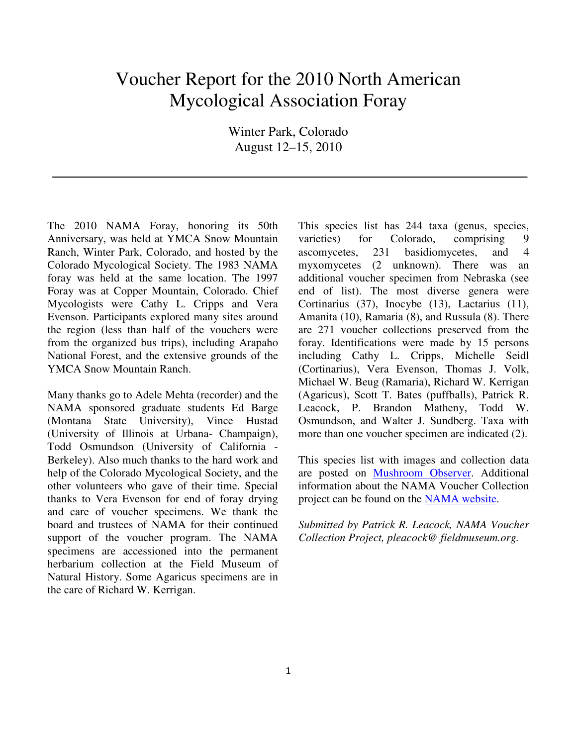## Voucher Report for the 2010 North American Mycological Association Foray

Winter Park, Colorado August 12–15, 2010

The 2010 NAMA Foray, honoring its 50th Anniversary, was held at YMCA Snow Mountain Ranch, Winter Park, Colorado, and hosted by the Colorado Mycological Society. The 1983 NAMA foray was held at the same location. The 1997 Foray was at Copper Mountain, Colorado. Chief Mycologists were Cathy L. Cripps and Vera Evenson. Participants explored many sites around the region (less than half of the vouchers were from the organized bus trips), including Arapaho National Forest, and the extensive grounds of the YMCA Snow Mountain Ranch.

Many thanks go to Adele Mehta (recorder) and the NAMA sponsored graduate students Ed Barge (Montana State University), Vince Hustad (University of Illinois at Urbana- Champaign), Todd Osmundson (University of California - Berkeley). Also much thanks to the hard work and help of the Colorado Mycological Society, and the other volunteers who gave of their time. Special thanks to Vera Evenson for end of foray drying and care of voucher specimens. We thank the board and trustees of NAMA for their continued support of the voucher program. The NAMA specimens are accessioned into the permanent herbarium collection at the Field Museum of Natural History. Some Agaricus specimens are in the care of Richard W. Kerrigan.

This species list has 244 taxa (genus, species, varieties) for Colorado, comprising 9 ascomycetes, 231 basidiomycetes, and 4 myxomycetes (2 unknown). There was an additional voucher specimen from Nebraska (see end of list). The most diverse genera were Cortinarius (37), Inocybe (13), Lactarius (11), Amanita (10), Ramaria (8), and Russula (8). There are 271 voucher collections preserved from the foray. Identifications were made by 15 persons including Cathy L. Cripps, Michelle Seidl (Cortinarius), Vera Evenson, Thomas J. Volk, Michael W. Beug (Ramaria), Richard W. Kerrigan (Agaricus), Scott T. Bates (puffballs), Patrick R. Leacock, P. Brandon Matheny, Todd W. Osmundson, and Walter J. Sundberg. Taxa with more than one voucher specimen are indicated (2).

This species list with images and collection data are posted on Mushroom Observer. Additional information about the NAMA Voucher Collection project can be found on the NAMA website.

*Submitted by Patrick R. Leacock, NAMA Voucher Collection Project, pleacock@ fieldmuseum.org.*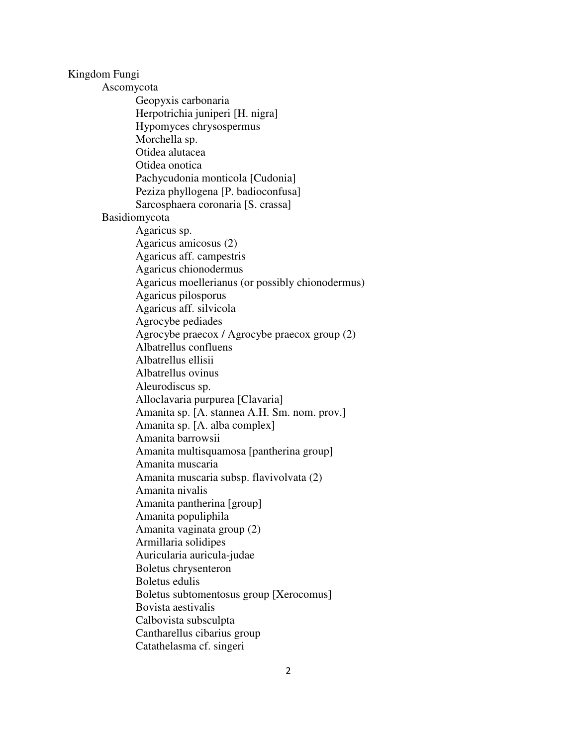Kingdom Fungi Ascomycota Geopyxis carbonaria Herpotrichia juniperi [H. nigra] Hypomyces chrysospermus Morchella sp. Otidea alutacea Otidea onotica Pachycudonia monticola [Cudonia] Peziza phyllogena [P. badioconfusa] Sarcosphaera coronaria [S. crassa] Basidiomycota Agaricus sp. Agaricus amicosus (2) Agaricus aff. campestris Agaricus chionodermus Agaricus moellerianus (or possibly chionodermus) Agaricus pilosporus Agaricus aff. silvicola Agrocybe pediades Agrocybe praecox / Agrocybe praecox group (2) Albatrellus confluens Albatrellus ellisii Albatrellus ovinus Aleurodiscus sp. Alloclavaria purpurea [Clavaria] Amanita sp. [A. stannea A.H. Sm. nom. prov.] Amanita sp. [A. alba complex] Amanita barrowsii Amanita multisquamosa [pantherina group] Amanita muscaria Amanita muscaria subsp. flavivolvata (2) Amanita nivalis Amanita pantherina [group] Amanita populiphila Amanita vaginata group (2) Armillaria solidipes Auricularia auricula-judae Boletus chrysenteron Boletus edulis Boletus subtomentosus group [Xerocomus] Bovista aestivalis Calbovista subsculpta Cantharellus cibarius group Catathelasma cf. singeri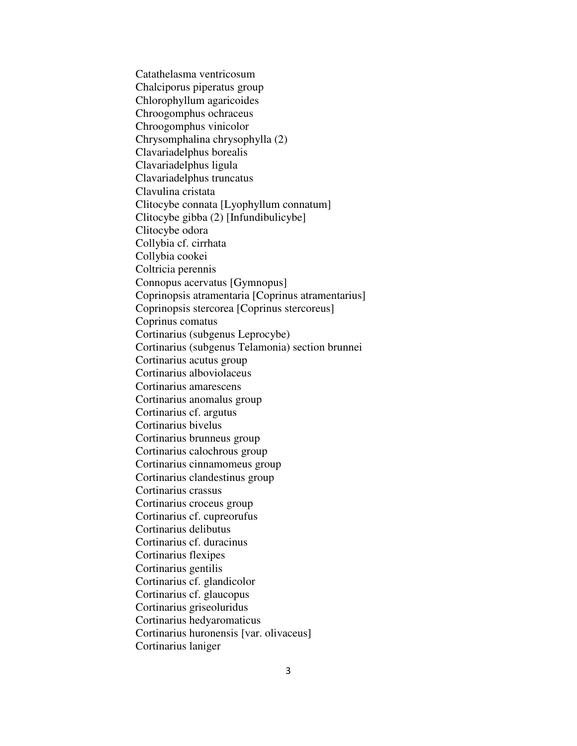Catathelasma ventricosum Chalciporus piperatus group Chlorophyllum agaricoides Chroogomphus ochraceus Chroogomphus vinicolor Chrysomphalina chrysophylla (2) Clavariadelphus borealis Clavariadelphus ligula Clavariadelphus truncatus Clavulina cristata Clitocybe connata [Lyophyllum connatum] Clitocybe gibba (2) [Infundibulicybe] Clitocybe odora Collybia cf. cirrhata Collybia cookei Coltricia perennis Connopus acervatus [Gymnopus] Coprinopsis atramentaria [Coprinus atramentarius] Coprinopsis stercorea [Coprinus stercoreus] Coprinus comatus Cortinarius (subgenus Leprocybe) Cortinarius (subgenus Telamonia) section brunnei Cortinarius acutus group Cortinarius alboviolaceus Cortinarius amarescens Cortinarius anomalus group Cortinarius cf. argutus Cortinarius bivelus Cortinarius brunneus group Cortinarius calochrous group Cortinarius cinnamomeus group Cortinarius clandestinus group Cortinarius crassus Cortinarius croceus group Cortinarius cf. cupreorufus Cortinarius delibutus Cortinarius cf. duracinus Cortinarius flexipes Cortinarius gentilis Cortinarius cf. glandicolor Cortinarius cf. glaucopus Cortinarius griseoluridus Cortinarius hedyaromaticus Cortinarius huronensis [var. olivaceus] Cortinarius laniger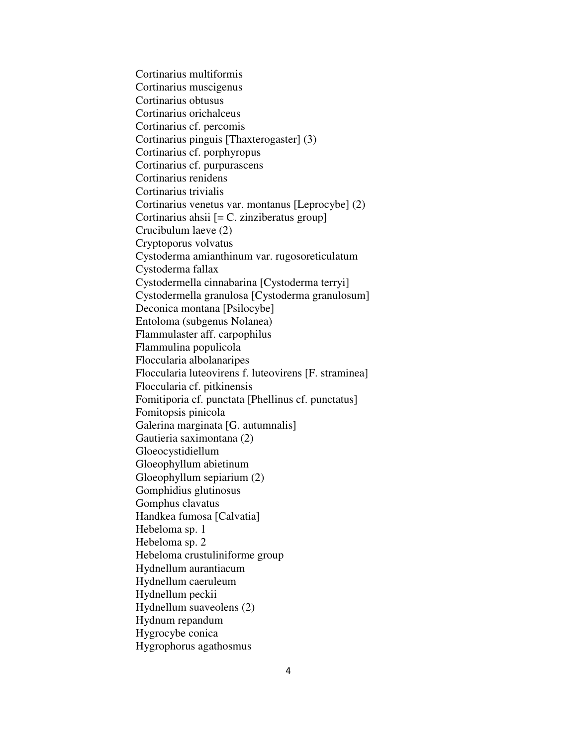Cortinarius multiformis Cortinarius muscigenus Cortinarius obtusus Cortinarius orichalceus Cortinarius cf. percomis Cortinarius pinguis [Thaxterogaster] (3) Cortinarius cf. porphyropus Cortinarius cf. purpurascens Cortinarius renidens Cortinarius trivialis Cortinarius venetus var. montanus [Leprocybe] (2) Cortinarius ahsii [= C. zinziberatus group] Crucibulum laeve (2) Cryptoporus volvatus Cystoderma amianthinum var. rugosoreticulatum Cystoderma fallax Cystodermella cinnabarina [Cystoderma terryi] Cystodermella granulosa [Cystoderma granulosum] Deconica montana [Psilocybe] Entoloma (subgenus Nolanea) Flammulaster aff. carpophilus Flammulina populicola Floccularia albolanaripes Floccularia luteovirens f. luteovirens [F. straminea] Floccularia cf. pitkinensis Fomitiporia cf. punctata [Phellinus cf. punctatus] Fomitopsis pinicola Galerina marginata [G. autumnalis] Gautieria saximontana (2) Gloeocystidiellum Gloeophyllum abietinum Gloeophyllum sepiarium (2) Gomphidius glutinosus Gomphus clavatus Handkea fumosa [Calvatia] Hebeloma sp. 1 Hebeloma sp. 2 Hebeloma crustuliniforme group Hydnellum aurantiacum Hydnellum caeruleum Hydnellum peckii Hydnellum suaveolens (2) Hydnum repandum Hygrocybe conica Hygrophorus agathosmus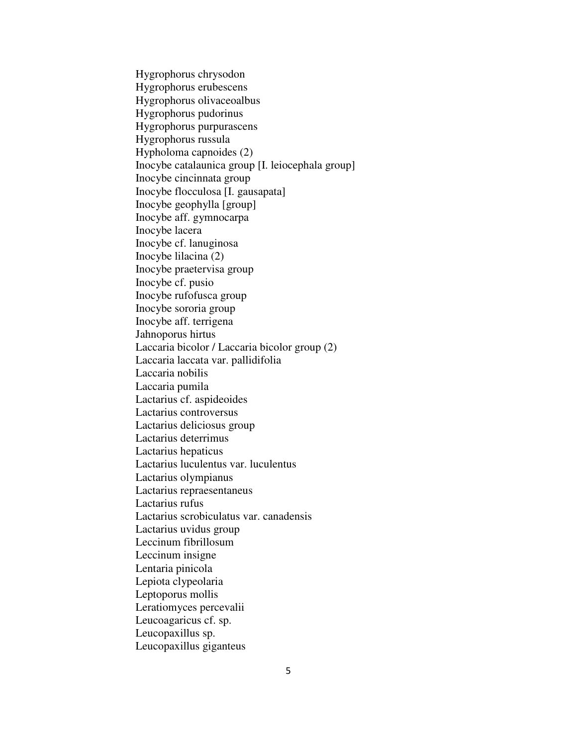Hygrophorus chrysodon Hygrophorus erubescens Hygrophorus olivaceoalbus Hygrophorus pudorinus Hygrophorus purpurascens Hygrophorus russula Hypholoma capnoides (2) Inocybe catalaunica group [I. leiocephala group] Inocybe cincinnata group Inocybe flocculosa [I. gausapata] Inocybe geophylla [group] Inocybe aff. gymnocarpa Inocybe lacera Inocybe cf. lanuginosa Inocybe lilacina (2) Inocybe praetervisa group Inocybe cf. pusio Inocybe rufofusca group Inocybe sororia group Inocybe aff. terrigena Jahnoporus hirtus Laccaria bicolor / Laccaria bicolor group (2) Laccaria laccata var. pallidifolia Laccaria nobilis Laccaria pumila Lactarius cf. aspideoides Lactarius controversus Lactarius deliciosus group Lactarius deterrimus Lactarius hepaticus Lactarius luculentus var. luculentus Lactarius olympianus Lactarius repraesentaneus Lactarius rufus Lactarius scrobiculatus var. canadensis Lactarius uvidus group Leccinum fibrillosum Leccinum insigne Lentaria pinicola Lepiota clypeolaria Leptoporus mollis Leratiomyces percevalii Leucoagaricus cf. sp. Leucopaxillus sp. Leucopaxillus giganteus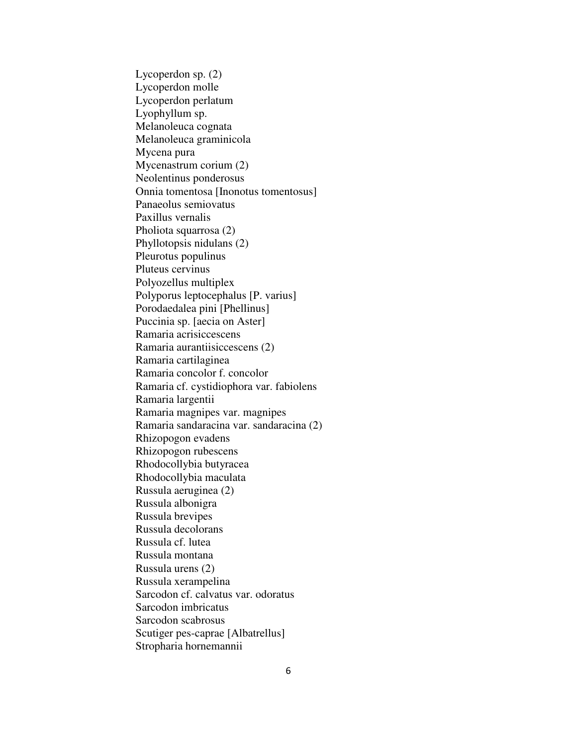Lycoperdon sp. (2) Lycoperdon molle Lycoperdon perlatum Lyophyllum sp. Melanoleuca cognata Melanoleuca graminicola Mycena pura Mycenastrum corium (2) Neolentinus ponderosus Onnia tomentosa [Inonotus tomentosus] Panaeolus semiovatus Paxillus vernalis Pholiota squarrosa (2) Phyllotopsis nidulans (2) Pleurotus populinus Pluteus cervinus Polyozellus multiplex Polyporus leptocephalus [P. varius] Porodaedalea pini [Phellinus] Puccinia sp. [aecia on Aster] Ramaria acrisiccescens Ramaria aurantiisiccescens (2) Ramaria cartilaginea Ramaria concolor f. concolor Ramaria cf. cystidiophora var. fabiolens Ramaria largentii Ramaria magnipes var. magnipes Ramaria sandaracina var. sandaracina (2) Rhizopogon evadens Rhizopogon rubescens Rhodocollybia butyracea Rhodocollybia maculata Russula aeruginea (2) Russula albonigra Russula brevipes Russula decolorans Russula cf. lutea Russula montana Russula urens (2) Russula xerampelina Sarcodon cf. calvatus var. odoratus Sarcodon imbricatus Sarcodon scabrosus Scutiger pes-caprae [Albatrellus] Stropharia hornemannii